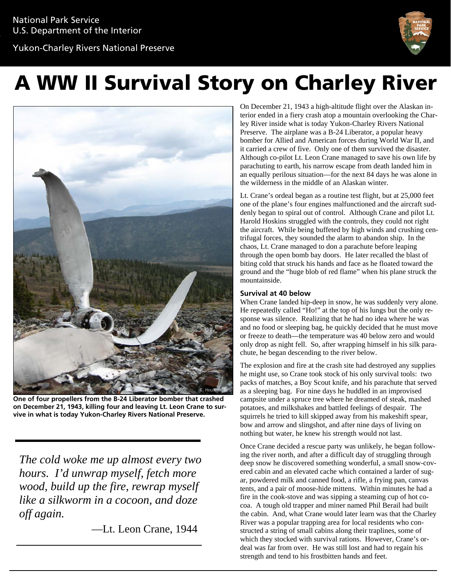Yukon-Charley Rivers National Preserve



# A WW II Survival Story on Charley River



**One of four propellers from the B-24 Liberator bomber that crashed on December 21, 1943, killing four and leaving Lt. Leon Crane to survive in what is today Yukon-Charley Rivers National Preserve.**

*The cold woke me up almost every two hours. I'd unwrap myself, fetch more wood, build up the fire, rewrap myself like a silkworm in a cocoon, and doze off again.*

—Lt. Leon Crane, 1944

On December 21, 1943 a high-altitude flight over the Alaskan interior ended in a fiery crash atop a mountain overlooking the Charley River inside what is today Yukon-Charley Rivers National Preserve. The airplane was a B-24 Liberator, a popular heavy bomber for Allied and American forces during World War II, and it carried a crew of five. Only one of them survived the disaster. Although co-pilot Lt. Leon Crane managed to save his own life by parachuting to earth, his narrow escape from death landed him in an equally perilous situation—for the next 84 days he was alone in the wilderness in the middle of an Alaskan winter.

Lt. Crane's ordeal began as a routine test flight, but at 25,000 feet one of the plane's four engines malfunctioned and the aircraft suddenly began to spiral out of control. Although Crane and pilot Lt. Harold Hoskins struggled with the controls, they could not right the aircraft. While being buffeted by high winds and crushing centrifugal forces, they sounded the alarm to abandon ship. In the chaos, Lt. Crane managed to don a parachute before leaping through the open bomb bay doors. He later recalled the blast of biting cold that struck his hands and face as he floated toward the ground and the "huge blob of red flame" when his plane struck the mountainside.

# **Survival at 40 below**

When Crane landed hip-deep in snow, he was suddenly very alone. He repeatedly called "Ho!" at the top of his lungs but the only response was silence. Realizing that he had no idea where he was and no food or sleeping bag, he quickly decided that he must move or freeze to death—the temperature was 40 below zero and would only drop as night fell. So, after wrapping himself in his silk parachute, he began descending to the river below.

The explosion and fire at the crash site had destroyed any supplies he might use, so Crane took stock of his only survival tools: two packs of matches, a Boy Scout knife, and his parachute that served as a sleeping bag. For nine days he huddled in an improvised campsite under a spruce tree where he dreamed of steak, mashed potatoes, and milkshakes and battled feelings of despair. The squirrels he tried to kill skipped away from his makeshift spear, bow and arrow and slingshot, and after nine days of living on nothing but water, he knew his strength would not last.

Once Crane decided a rescue party was unlikely, he began following the river north, and after a difficult day of struggling through deep snow he discovered something wonderful, a small snow-covered cabin and an elevated cache which contained a larder of sugar, powdered milk and canned food, a rifle, a frying pan, canvas tents, and a pair of moose-hide mittens. Within minutes he had a fire in the cook-stove and was sipping a steaming cup of hot cocoa. A tough old trapper and miner named Phil Berail had built the cabin. And, what Crane would later learn was that the Charley River was a popular trapping area for local residents who constructed a string of small cabins along their traplines, some of which they stocked with survival rations. However, Crane's ordeal was far from over. He was still lost and had to regain his strength and tend to his frostbitten hands and feet.